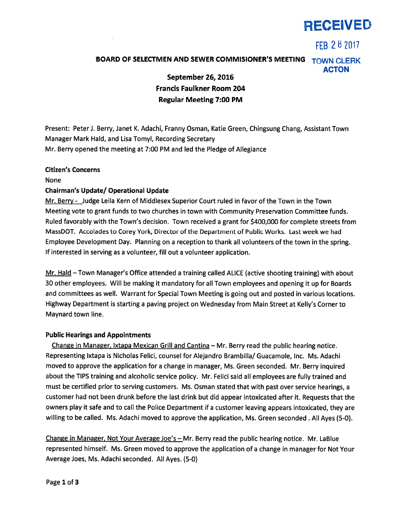

FFB 282017

# BOARD OF SELECTMEN AND SEWER COMMISIONER'S MEETING TOWN CLERK ACTON

September 26, 2016 Francis Faulkner Room 204 Regular Meeting 7:00 PM

Present: Peter J. Berry, Janet K. Adachi, Franny Osman, Katie Green, Chingsung Chang, Assistant Town Manager Mark Hald, and Lisa Tomyl, Recording Secretary Mr. Berry opened the meeting at 7:00 PM and led the Pledge of Allegiance

### Citizen's Concerns

None

## Chairman's Update/ Operational Update

Mr. Berry - Judge Leila Kern of Middlesex Superior Court ruled in favor of the Town in the Town Meeting vote to gran<sup>t</sup> funds to two churches in town with Community Preservation Committee funds. Ruled favorably with the Town's decision. Town received <sup>a</sup> gran<sup>t</sup> for \$400,000 for complete streets from MassDOT. Accolades to Corey York, Director of the Department of Public Works. Last week we had Employee Development Day. Planning on <sup>a</sup> reception to thank all volunteers of the town in the spring. If interested in serving as <sup>a</sup> volunteer, fill out <sup>a</sup> volunteer application.

Mr. Hald - Town Manager's Office attended a training called ALICE (active shooting training) with about 30 other employees. Will be making it mandatory for all Town employees and opening it up for Boards and committees as well. Warrant for Special Town Meeting is going out and posted in various locations. Highway Department is starting <sup>a</sup> paving project on Wednesday from Main Street at Kelly's Corner to Maynard town line.

## Public Hearings and Appointments

Change in Manager, Ixtapa Mexican Grill and Cantina — Mr. Berry read the public hearing notice. Representing Ixtapa is Nicholas Felici, counsel for Alejandro Brambilla/ Guacamole, Inc. Ms. Adachi moved to approve the application for <sup>a</sup> change in manager, Ms. Green seconded. Mr. Berry inquired about the TIPS training and alcoholic service policy. Mr. Felici said all employees are fully trained and must be certified prior to serving customers. Ms. Osman stated that with pas<sup>t</sup> over service hearings, <sup>a</sup> customer had not been drunk before the last drink but did appear intoxicated after it. Requests that the owners <sup>p</sup>lay it safe and to call the Police Department if <sup>a</sup> customer leaving appears intoxicated, they are willing to be called. Ms. Adachi moved to approve the application, Ms. Green seconded . All Ayes (5-0).

Change in Manager, Not Your Average Joe's  $-$  Mr. Berry read the public hearing notice. Mr. LaBlue represented himself. Ms. Green moved to approve the application of <sup>a</sup> change in manager for Not Your Average Joes, Ms. Adachi seconded. All Ayes. (5-0)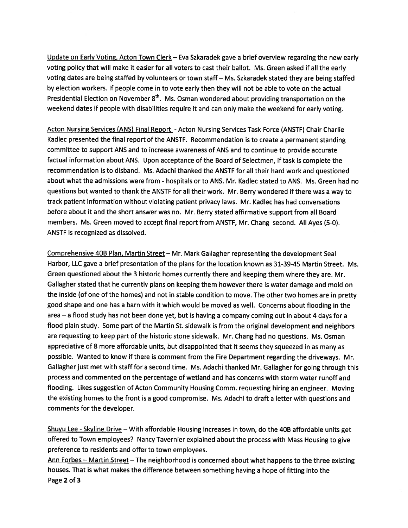Update on Early Voting, Acton Town Clerk - Eva Szkaradek gave a brief overview regarding the new early voting policy that will make it easier for all voters to cast their ballot. Ms. Green asked if all the early voting dates are being staffed by volunteers or town staff— Ms. Szkaradek stated they are being staffed by election workers. If people come in to vote early then they will not be able to vote on the actual Presidential Election on November  $8<sup>th</sup>$ . Ms. Osman wondered about providing transportation on the weekend dates if people with disabilities require it and can only make the weekend for early voting.

Acton Nursing Services (ANS) Final Report - Acton Nursing Services Task Force (ANSTF) Chair Charlie Kadlec presented the final repor<sup>t</sup> of the ANSTF. Recommendation is to create <sup>a</sup> permanen<sup>t</sup> standing committee to suppor<sup>t</sup> ANS and to increase awareness of ANS and to continue to provide accurate factual information about ANS. Upon acceptance of the Board of Selectmen, if task is complete the recommendation is to disband. Ms. Adachi thanked the ANSIF for all their hard work and questioned about what the admissions were from - hospitals or to ANS. Mr. Kadlec stated to ANS. Ms. Green had no questions but wanted to thank the ANSTF for all their work. Mr. Berry wondered if there was <sup>a</sup> way to track patient information without violating patient privacy laws. Mr. Kadlec has had conversations before about it and the short answer was no. Mr. Berry stated affirmative suppor<sup>t</sup> from all Board members. Ms. Green moved to accep<sup>t</sup> final repor<sup>t</sup> from ANSTF, Mr. Chang second. All Ayes (5-0). ANSTF is recognized as dissolved.

Comprehensive 4DB Plan, Martin Street — Mr. Mark Gallagher representing the development Seal Harbor, LLC gave <sup>a</sup> brief presentation of the plans for the location known as 31-39-45 Martin Street. Ms. Green questioned about the <sup>3</sup> historic homes currently there and keeping them where they are. Mr. Gallagher stated that he currently <sup>p</sup>lans on keeping them however there is water damage and mold on the inside (of one of the homes) and not in stable condition to move. The other two homes are in pretty good shape and one has <sup>a</sup> barn with it which would be moved as well. Concerns about flooding in the area — <sup>a</sup> flood study has not been done yet, but is having <sup>a</sup> company coming out in about <sup>4</sup> days for <sup>a</sup> flood <sup>p</sup>lain study. Some par<sup>t</sup> of the Martin St. sidewalk is from the original development and neighbors are requesting to keep par<sup>t</sup> of the historic stone sidewalk. Mr. Chang had no questions. Ms. Osman appreciative of <sup>8</sup> more affordable units, but disappointed that it seems they squeeze<sup>d</sup> in as many as possible. Wanted to know if there is comment from the Fire Department regarding the driveways. Mr. Gallagher just met with staff for <sup>a</sup> second time. Ms. Adachi thanked Mr. Gallagher for going through this process and commented on the percentage of wetland and has concerns with storm water runoff and flooding. Likes suggestion of Acton Community Housing Comm. requesting hiring an engineer. Moving the existing homes to the front is <sup>a</sup> goo<sup>d</sup> compromise. Ms. Adachi to draft <sup>a</sup> letter with questions and comments for the developer.

Shuyu Lee - Skyline Drive – With affordable Housing increases in town, do the 40B affordable units get offered to Town employees? Nancy Tavernier explained about the process with Mass Housing to <sup>g</sup>ive preference to residents and offer to town employees.

Ann Forbes – Martin Street – The neighborhood is concerned about what happens to the three existing houses. That is what makes the difference between something having <sup>a</sup> hope of fitting into the Page 2 of 3